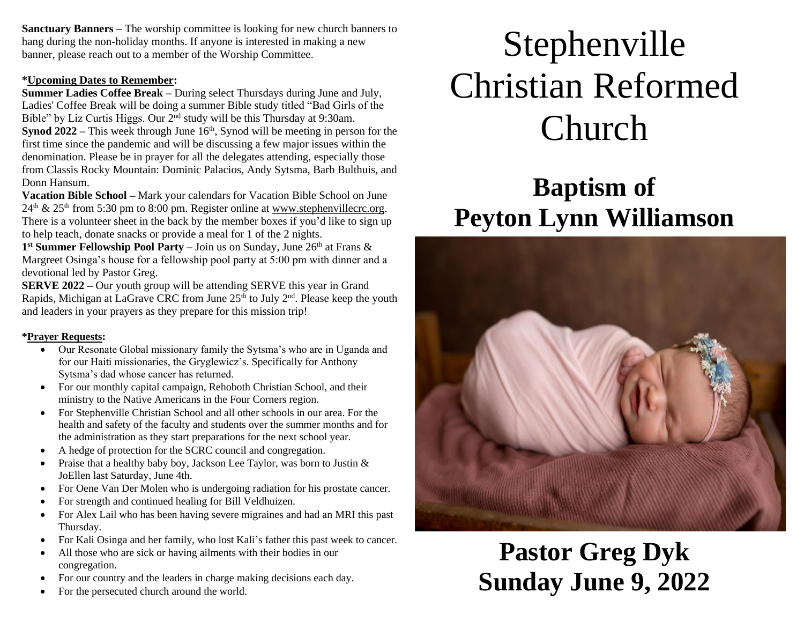**Sanctuary Banners –** The worship committee is looking for new church banners to hang during the non-holiday months. If anyone is interested in making a new banner, please reach out to a member of the Worship Committee.

#### **\*Upcoming Dates to Remember:**

**Summer Ladies Coffee Break –** During select Thursdays during June and July, Ladies' Coffee Break will be doing a summer Bible study titled "Bad Girls of the Bible" by Liz Curtis Higgs. Our 2<sup>nd</sup> study will be this Thursday at 9:30am. **Synod 2022** – This week through June 16<sup>th</sup>, Synod will be meeting in person for the first time since the pandemic and will be discussing a few major issues within the denomination. Please be in prayer for all the delegates attending, especially those from Classis Rocky Mountain: Dominic Palacios, Andy Sytsma, Barb Bulthuis, and Donn Hansum.

**Vacation Bible School –** Mark your calendars for Vacation Bible School on June  $24<sup>th</sup>$  &  $25<sup>th</sup>$  from 5:30 pm to 8:00 pm. Register online at [www.stephenvillecrc.org.](http://www.stephenvillecrc.org/) There is a volunteer sheet in the back by the member boxes if you'd like to sign up to help teach, donate snacks or provide a meal for 1 of the 2 nights.

1<sup>st</sup> Summer Fellowship Pool Party – Join us on Sunday, June 26<sup>th</sup> at Frans & Margreet Osinga's house for a fellowship pool party at 5:00 pm with dinner and a devotional led by Pastor Greg.

**SERVE 2022 –** Our youth group will be attending SERVE this year in Grand Rapids, Michigan at LaGrave CRC from June  $25<sup>th</sup>$  to July  $2<sup>nd</sup>$ . Please keep the youth and leaders in your prayers as they prepare for this mission trip!

#### **\*Prayer Requests:**

- Our Resonate Global missionary family the Sytsma's who are in Uganda and for our Haiti missionaries, the Gryglewicz's. Specifically for Anthony Sytsma's dad whose cancer has returned.
- For our monthly capital campaign, Rehoboth Christian School, and their ministry to the Native Americans in the Four Corners region.
- For Stephenville Christian School and all other schools in our area. For the health and safety of the faculty and students over the summer months and for the administration as they start preparations for the next school year.
- A hedge of protection for the SCRC council and congregation.
- Praise that a healthy baby boy, Jackson Lee Taylor, was born to Justin  $\&$ JoEllen last Saturday, June 4th.
- For Oene Van Der Molen who is undergoing radiation for his prostate cancer.
- For strength and continued healing for Bill Veldhuizen.
- For Alex Lail who has been having severe migraines and had an MRI this past Thursday.
- For Kali Osinga and her family, who lost Kali's father this past week to cancer.
- All those who are sick or having ailments with their bodies in our congregation.
- For our country and the leaders in charge making decisions each day.
- For the persecuted church around the world.

# Stephenville Christian Reformed Church

# **Baptism of Peyton Lynn Williamson**



## **Pastor Greg Dyk Sunday June 9, 2022**